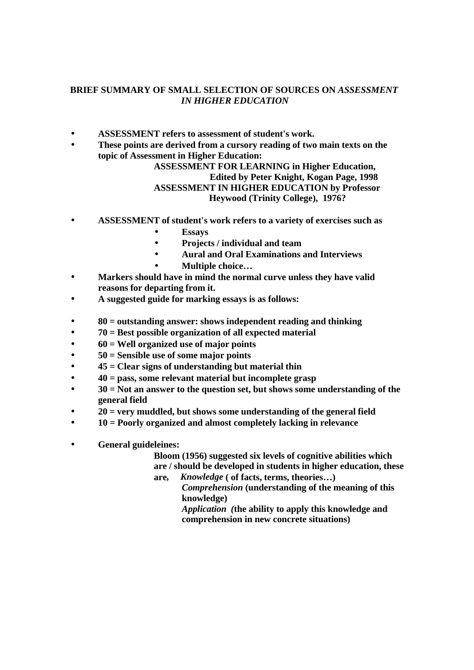## **BRIEF SUMMARY OF SMALL SELECTION OF SOURCES ON** *ASSESSMENT IN HIGHER EDUCATION*

- **ASSESSMENT refers to assessment of student's work.**
- **These points are derived from a cursory reading of two main texts on the topic of Assessment in Higher Education:**

## **ASSESSMENT FOR LEARNING in Higher Education, Edited by Peter Knight, Kogan Page, 1998 ASSESSMENT IN HIGHER EDUCATION by Professor Heywood (Trinity College), 1976?**

- **ASSESSMENT of student's work refers to a variety of exercises such as** 
	- **Essays**
	- **Projects / individual and team**
	- **Aural and Oral Examinations and Interviews**
	- **Multiple choice…**
- **Markers should have in mind the normal curve unless they have valid reasons for departing from it.**
- **A suggested guide for marking essays is as follows:**
- **80 = outstanding answer: shows independent reading and thinking**
- **70 = Best possible organization of all expected material**
- **60 = Well organized use of major points**
- **50 = Sensible use of some major points**
- **45 = Clear signs of understanding but material thin**
- **40 = pass, some relevant material but incomplete grasp**
- **30 = Not an answer to the question set, but shows some understanding of the general field**
- **20 = very muddled, but shows some understanding of the general field**
- **10 = Poorly organized and almost completely lacking in relevance**
- **General guideleines:**

**Bloom (1956) suggested six levels of cognitive abilities which are / should be developed in students in higher education, these** 

**are***, Knowledge* **( of facts, terms, theories…)** *Comprehension* **(understanding of the meaning of this knowledge)**

> *Application (***the ability to apply this knowledge and comprehension in new concrete situations)**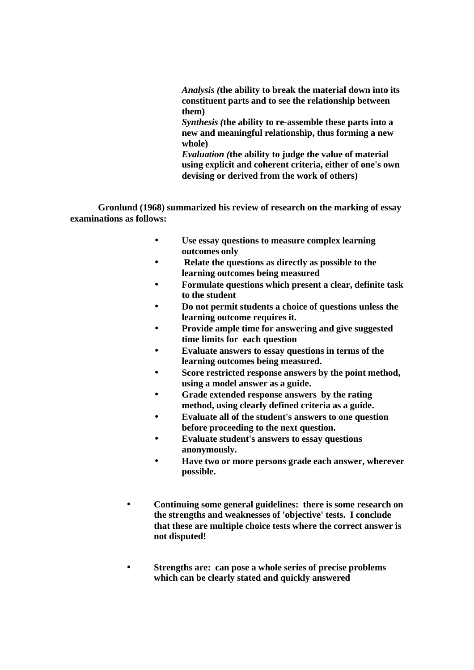*Analysis (***the ability to break the material down into its constituent parts and to see the relationship between them)**

*Synthesis (***the ability to re-assemble these parts into a new and meaningful relationship, thus forming a new whole)**

*Evaluation (***the ability to judge the value of material using explicit and coherent criteria, either of one's own devising or derived from the work of others)**

**Gronlund (1968) summarized his review of research on the marking of essay examinations as follows:**

- **Use essay questions to measure complex learning outcomes only**
- • **Relate the questions as directly as possible to the learning outcomes being measured**
- **Formulate questions which present a clear, definite task to the student**
- **Do not permit students a choice of questions unless the learning outcome requires it.**
- **Provide ample time for answering and give suggested time limits for each question**
- **Evaluate answers to essay questions in terms of the learning outcomes being measured.**
- **Score restricted response answers by the point method, using a model answer as a guide.**
- **Grade extended response answers by the rating method, using clearly defined criteria as a guide.**
- **Evaluate all of the student's answers to one question before proceeding to the next question.**
- **Evaluate student's answers to essay questions anonymously.**
- **Have two or more persons grade each answer, wherever possible.**
- **Continuing some general guidelines: there is some research on the strengths and weaknesses of 'objective' tests. I conclude that these are multiple choice tests where the correct answer is not disputed!**
- **Strengths are: can pose a whole series of precise problems which can be clearly stated and quickly answered**